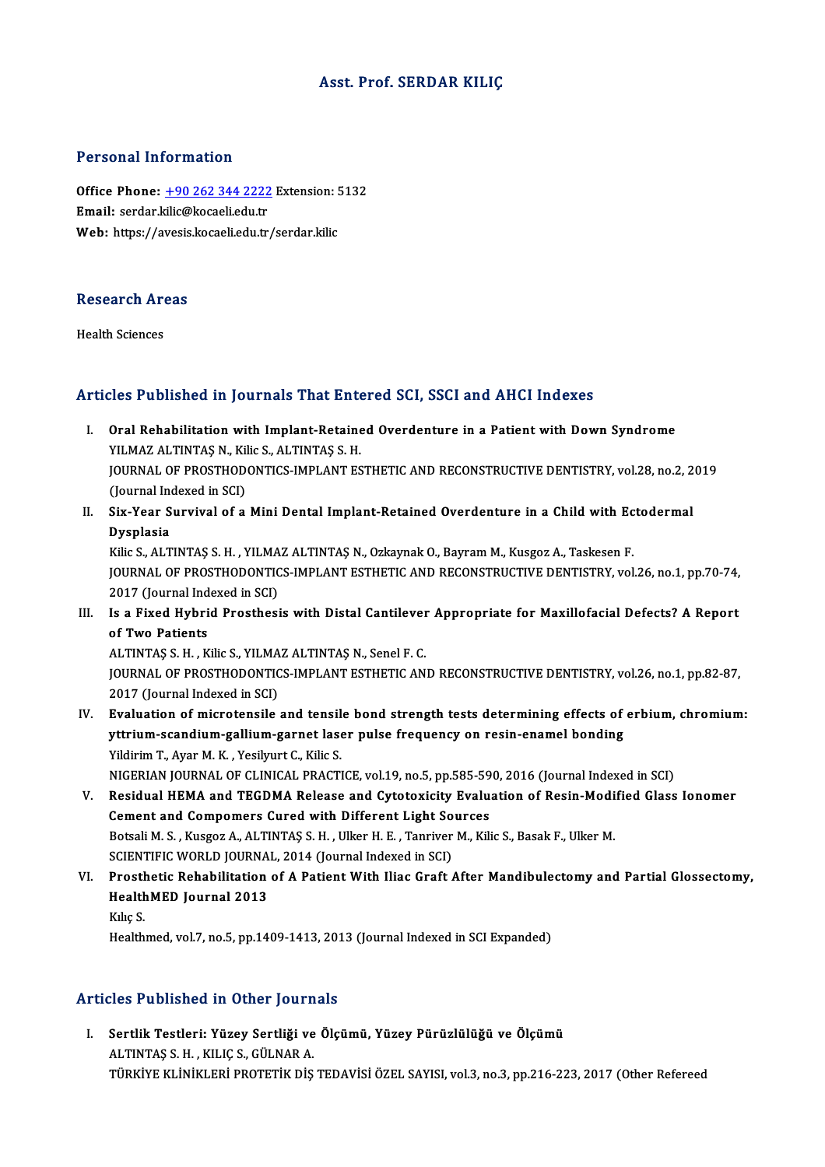#### Asst. Prof. SERDAR KILIÇ

#### Personal Information

Personal Information<br>Office Phone: <u>+90 262 344 2222</u> Extension: 5132<br>Email: serder kilig@kasaali.edu.tr 1 STOSHET INTO MELLON<br>Office Phone: <u>+90 262 344 2222</u><br>Email: serdar.[kilic@kocaeli.edu.tr](tel:+90 262 344 2222) Office Phone: <u>+90 262 344 2222</u> Extension: !<br>Email: serdar.kilic@kocaeli.edu.tr<br>Web: https://avesis.kocaeli.edu.tr/serdar.kilic

## research<br>Research Areas R<mark>esearch Ar</mark><br>Health Sciences

# Articles Published in Journals That Entered SCI, SSCI and AHCI Indexes

- rticles Published in Journals That Entered SCI, SSCI and AHCI Indexes<br>I. Oral Rehabilitation with Implant-Retained Overdenture in a Patient with Down Syndrome<br>VILMAZ ALTINTAS N. KikeS, ALTINTAS S. H SECT ADHONOM IN JOUTHAM THAT THE THE<br>Oral Rehabilitation with Implant-Retaine<br>YILMAZ ALTINTAŞ N., Kilic S., ALTINTAŞ S. H.<br>JOUPMAL OF PROSTHODONTICS IMPLANT ES Oral Rehabilitation with Implant-Retained Overdenture in a Patient with Down Syndrome<br>YILMAZ ALTINTAŞ N., Kilic S., ALTINTAŞ S. H.<br>JOURNAL OF PROSTHODONTICS-IMPLANT ESTHETIC AND RECONSTRUCTIVE DENTISTRY, vol.28, no.2, 2019 YILMAZ ALTINTAŞ N., Kil<br>JOURNAL OF PROSTHOD<br>(Journal Indexed in SCI)<br>Siv Voor Survival of a JOURNAL OF PROSTHODONTICS-IMPLANT ESTHETIC AND RECONSTRUCTIVE DENTISTRY, vol.28, no.2, 2<br>(Journal Indexed in SCI)<br>II. Six-Year Survival of a Mini Dental Implant-Retained Overdenture in a Child with Ectodermal<br>Dysplasia
- (Journal Inc<mark>Six-Year S)</mark><br>Dysplasia<br><sup>Vilio S AJ T</sub></sup> Six-Year Survival of a Mini Dental Implant-Retained Overdenture in a Child with Ec<br>Dysplasia<br>Kilic S., ALTINTAŞ S.H. , YILMAZ ALTINTAŞ N., Ozkaynak O., Bayram M., Kusgoz A., Taskesen F.<br>JOUPMAL OF PROSTHODONTICS JMPLANT ES

Dysplasia<br>Kilic S., ALTINTAŞ S. H. , YILMAZ ALTINTAŞ N., Ozkaynak O., Bayram M., Kusgoz A., Taskesen F.<br>JOURNAL OF PROSTHODONTICS-IMPLANT ESTHETIC AND RECONSTRUCTIVE DENTISTRY, vol.26, no.1, pp.70-74,<br>2017 (Journal Indexed Kilic S., ALTINTAS S. H., YILMAZ ALTINTAS N., Ozkaynak O., Bayram M., Kusgoz A., Taskesen F. I I. IS a Fixed Hybrid Prosthesis with Distal Cantilever Appropriate for Maxillofacial Defects? A Report of Two Patients.<br>III. Is a Fixed Hybrid Prosthesis with Distal Cantilever Appropriate for Maxillofacial Defects? A Re

2017 (Journal Ind<br>Is a Fixed Hybri<br>of Two Patients<br>ALTINTAS S H R Is a Fixed Hybrid Prosthesis with Distal Cantilever<br>of Two Patients<br>ALTINTAŞ S. H. , Kilic S., YILMAZ ALTINTAŞ N., Senel F. C.<br>JOUPMAL OF PROSTHODONTICS IMPLANT ESTHETIC AN

of Two Patients<br>ALTINTAŞ S. H. , Kilic S., YILMAZ ALTINTAŞ N., Senel F. C.<br>JOURNAL OF PROSTHODONTICS-IMPLANT ESTHETIC AND RECONSTRUCTIVE DENTISTRY, vol.26, no.1, pp.82-87,<br>2017 (Journal Indoved in SCI) ALTINTAŞ S. H. , Kilic S., YILMA<br>JOURNAL OF PROSTHODONTIC<br>2017 (Journal Indexed in SCI)<br>Evaluation of misratansile IOURNAL OF PROSTHODONTICS-IMPLANT ESTHETIC AND RECONSTRUCTIVE DENTISTRY, vol.26, no.1, pp.82-87,<br>2017 (Journal Indexed in SCI)<br>IV. Evaluation of microtensile and tensile bond strength tests determining effects of erbium, c

- 2017 (Journal Indexed in SCI)<br>Evaluation of microtensile and tensile bond strength tests determining effects of<br>yttrium-scandium-gallium-garnet laser pulse frequency on resin-enamel bonding<br>Vildinim T. Avor M. K., Vesiluut Evaluation of microtensile and tensil<br>yttrium-scandium-gallium-garnet lase<br>Yildirim T., Ayar M. K. , Yesilyurt C., Kilic S.<br>NICERIAN JOURNAL OF CLINICAL RRACTI Yildirim T., Ayar M. K. , Yesilyurt C., Kilic S.<br>NIGERIAN JOURNAL OF CLINICAL PRACTICE, vol.19, no.5, pp.585-590, 2016 (Journal Indexed in SCI) Yildirim T., Ayar M. K. , Yesilyurt C., Kilic S.<br>NIGERIAN JOURNAL OF CLINICAL PRACTICE, vol.19, no.5, pp.585-590, 2016 (Journal Indexed in SCI)<br>V. Residual HEMA and TEGDMA Release and Cytotoxicity Evaluation of Resin-Modif
- NIGERIAN JOURNAL OF CLINICAL PRACTICE, vol.19, no.5, pp.585-59<br>Residual HEMA and TEGDMA Release and Cytotoxicity Evalue<br>Cement and Compomers Cured with Different Light Sources<br>Retali M.S., Kusses A. ALTINTAS S.H., Hillen H Residual HEMA and TEGDMA Release and Cytotoxicity Evaluation of Resin-Modi<br>Cement and Compomers Cured with Different Light Sources<br>Botsali M. S. , Kusgoz A., ALTINTAŞ S. H. , Ulker H. E. , Tanriver M., Kilic S., Basak F., Cement and Compomers Cured with Different Light So<br>Botsali M. S. , Kusgoz A., ALTINTAŞ S. H. , Ulker H. E. , Tanriver<br>SCIENTIFIC WORLD JOURNAL, 2014 (Journal Indexed in SCI)<br>Presthetis Pehebilitation of A Petient With Hies Botsali M. S. , Kusgoz A., ALTINTAŞ S. H. , Ulker H. E. , Tanriver M., Kilic S., Basak F., Ulker M.<br>SCIENTIFIC WORLD JOURNAL, 2014 (Journal Indexed in SCI)<br>VI. Prosthetic Rehabilitation of A Patient With Iliac Graft After
- SCIENTIFIC WORLD JOURNA<br>Prosthetic Rehabilitation<br>HealthMED Journal 2013<br><sup>Kilis S</sup> Prosth<br>Health<br>Kılıç S.<br>Health HealthMED Journal 2013<br>Kılıç S.<br>Healthmed, vol.7, no.5, pp.1409-1413, 2013 (Journal Indexed in SCI Expanded)

### Articles Published in Other Journals

rticles Published in Other Journals<br>I. Sertlik Testleri: Yüzey Sertliği ve Ölçümü, Yüzey Pürüzlülüğü ve Ölçümü<br>ALTNTAS S.H., KUJC S. CÜLNAR A ALTINTAŞ S.H. , BUNAT YOLUMA<br>Sertlik Testleri: Yüzey Sertliği ve<br>ALTINTAŞ S.H. , KILIÇ S., GÜLNAR A.<br>TÜRKIYE KI İNİKI ERİ PROTETİK DİS ALTINTAŞ S. H. , KILIÇ S., GÜLNAR A.<br>TÜRKİYE KLİNİKLERİ PROTETİK DİŞ TEDAVİSİ ÖZEL SAYISI, vol.3, no.3, pp.216-223, 2017 (Other Refereed